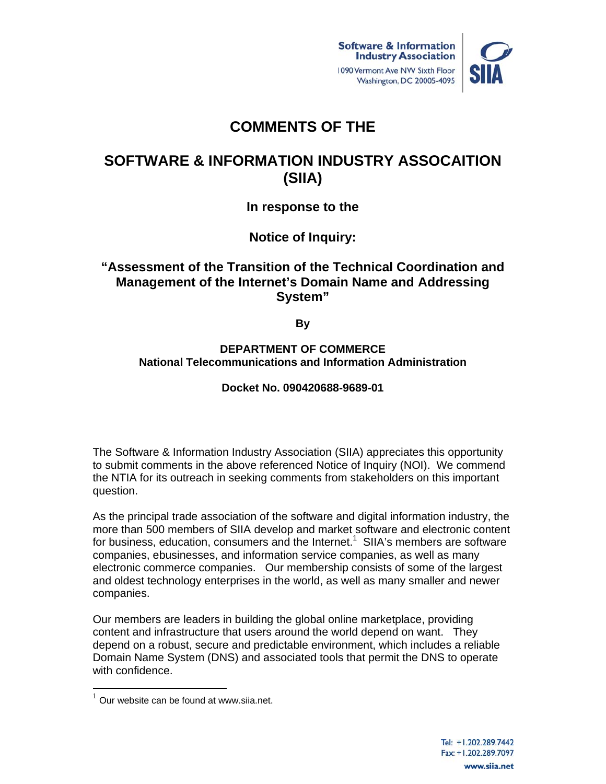



# **COMMENTS OF THE**

# **SOFTWARE & INFORMATION INDUSTRY ASSOCAITION (SIIA)**

**In response to the** 

**Notice of Inquiry:** 

# **"Assessment of the Transition of the Technical Coordination and Management of the Internet's Domain Name and Addressing System"**

**By** 

### **DEPARTMENT OF COMMERCE National Telecommunications and Information Administration**

# **Docket No. 090420688-9689-01**

The Software & Information Industry Association (SIIA) appreciates this opportunity to submit comments in the above referenced Notice of Inquiry (NOI). We commend the NTIA for its outreach in seeking comments from stakeholders on this important question.

As the principal trade association of the software and digital information industry, the more than 500 members of SIIA develop and market software and electronic content for business, education, consumers and the Internet.<sup>1</sup> SIIA's members are software companies, ebusinesses, and information service companies, as well as many electronic commerce companies. Our membership consists of some of the largest and oldest technology enterprises in the world, as well as many smaller and newer companies.

Our members are leaders in building the global online marketplace, providing content and infrastructure that users around the world depend on want. They depend on a robust, secure and predictable environment, which includes a reliable Domain Name System (DNS) and associated tools that permit the DNS to operate with confidence.

 $1$  Our website can be found at www.siia.net.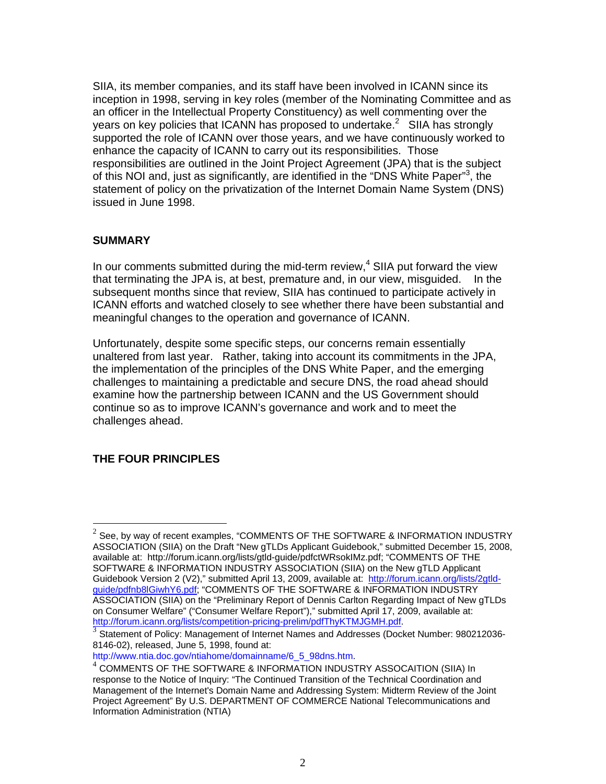SIIA, its member companies, and its staff have been involved in ICANN since its inception in 1998, serving in key roles (member of the Nominating Committee and as an officer in the Intellectual Property Constituency) as well commenting over the years on key policies that ICANN has proposed to undertake. $2$  SIIA has strongly supported the role of ICANN over those years, and we have continuously worked to enhance the capacity of ICANN to carry out its responsibilities. Those responsibilities are outlined in the Joint Project Agreement (JPA) that is the subject of this NOI and, just as significantly, are identified in the "DNS White Paper"<sup>3</sup>, the statement of policy on the privatization of the Internet Domain Name System (DNS) issued in June 1998.

#### **SUMMARY**

In our comments submitted during the mid-term review, $4$  SIIA put forward the view that terminating the JPA is, at best, premature and, in our view, misguided. In the subsequent months since that review, SIIA has continued to participate actively in ICANN efforts and watched closely to see whether there have been substantial and meaningful changes to the operation and governance of ICANN.

Unfortunately, despite some specific steps, our concerns remain essentially unaltered from last year. Rather, taking into account its commitments in the JPA, the implementation of the principles of the DNS White Paper, and the emerging challenges to maintaining a predictable and secure DNS, the road ahead should examine how the partnership between ICANN and the US Government should continue so as to improve ICANN's governance and work and to meet the challenges ahead.

## **THE FOUR PRINCIPLES**

 $^{2}$  See, by way of recent examples, "COMMENTS OF THE SOFTWARE & INFORMATION INDUSTRY ASSOCIATION (SIIA) on the Draft "New gTLDs Applicant Guidebook," submitted December 15, 2008, available at: http://forum.icann.org/lists/gtld-guide/pdfctWRsokIMz.pdf; "COMMENTS OF THE SOFTWARE & INFORMATION INDUSTRY ASSOCIATION (SIIA) on the New gTLD Applicant Guidebook Version 2 (V2)," submitted April 13, 2009, available at: http://forum.icann.org/lists/2gtldguide/pdfnb8lGiwhY6.pdf; "COMMENTS OF THE SOFTWARE & INFORMATION INDUSTRY ASSOCIATION (SIIA) on the "Preliminary Report of Dennis Carlton Regarding Impact of New gTLDs on Consumer Welfare" ("Consumer Welfare Report")," submitted April 17, 2009, available at: http://forum.icann.org/lists/competition-pricing-prelim/pdfThyKTMJGMH.pdf.<br>3 Statement of Policy: Management of Internet Names and Addresses (Docket Number: 980212036-

<sup>8146-02),</sup> released, June 5, 1998, found at:

http://www.ntia.doc.gov/ntiahome/domainname/6\_5\_98dns.htm.<br><sup>4</sup> COMMENTS OF THE SOFTWARE & INFORMATION INDUSTRY ASSOCAITION (SIIA) In response to the Notice of Inquiry: "The Continued Transition of the Technical Coordination and Management of the Internet's Domain Name and Addressing System: Midterm Review of the Joint Project Agreement" By U.S. DEPARTMENT OF COMMERCE National Telecommunications and Information Administration (NTIA)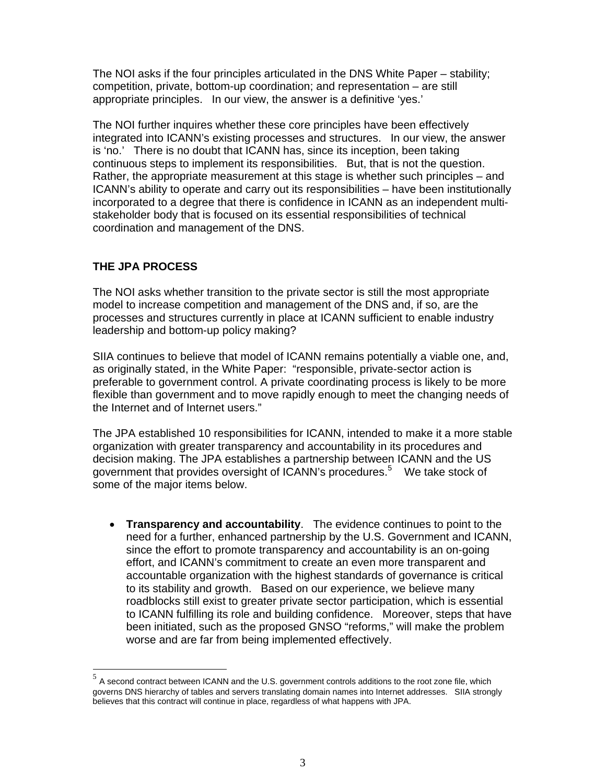The NOI asks if the four principles articulated in the DNS White Paper – stability; competition, private, bottom-up coordination; and representation – are still appropriate principles. In our view, the answer is a definitive 'yes.'

The NOI further inquires whether these core principles have been effectively integrated into ICANN's existing processes and structures. In our view, the answer is 'no.' There is no doubt that ICANN has, since its inception, been taking continuous steps to implement its responsibilities. But, that is not the question. Rather, the appropriate measurement at this stage is whether such principles – and ICANN's ability to operate and carry out its responsibilities – have been institutionally incorporated to a degree that there is confidence in ICANN as an independent multistakeholder body that is focused on its essential responsibilities of technical coordination and management of the DNS.

## **THE JPA PROCESS**

-

The NOI asks whether transition to the private sector is still the most appropriate model to increase competition and management of the DNS and, if so, are the processes and structures currently in place at ICANN sufficient to enable industry leadership and bottom-up policy making?

SIIA continues to believe that model of ICANN remains potentially a viable one, and, as originally stated, in the White Paper: "responsible, private-sector action is preferable to government control. A private coordinating process is likely to be more flexible than government and to move rapidly enough to meet the changing needs of the Internet and of Internet users."

The JPA established 10 responsibilities for ICANN, intended to make it a more stable organization with greater transparency and accountability in its procedures and decision making. The JPA establishes a partnership between ICANN and the US government that provides oversight of ICANN's procedures.<sup>5</sup> We take stock of some of the major items below.

 **Transparency and accountability**. The evidence continues to point to the need for a further, enhanced partnership by the U.S. Government and ICANN, since the effort to promote transparency and accountability is an on-going effort, and ICANN's commitment to create an even more transparent and accountable organization with the highest standards of governance is critical to its stability and growth. Based on our experience, we believe many roadblocks still exist to greater private sector participation, which is essential to ICANN fulfilling its role and building confidence. Moreover, steps that have been initiated, such as the proposed GNSO "reforms," will make the problem worse and are far from being implemented effectively.

 $^5$  A second contract between ICANN and the U.S. government controls additions to the root zone file, which governs DNS hierarchy of tables and servers translating domain names into Internet addresses. SIIA strongly believes that this contract will continue in place, regardless of what happens with JPA.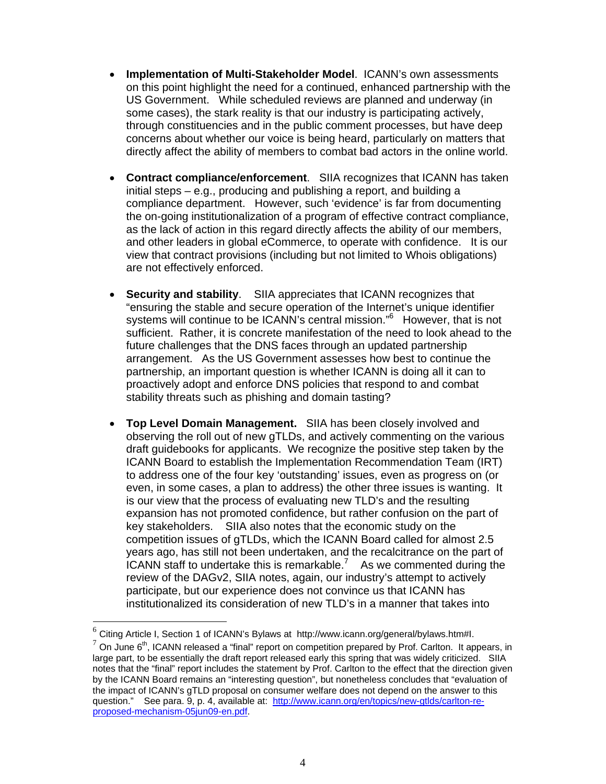- **Implementation of Multi-Stakeholder Model**. ICANN's own assessments on this point highlight the need for a continued, enhanced partnership with the US Government. While scheduled reviews are planned and underway (in some cases), the stark reality is that our industry is participating actively, through constituencies and in the public comment processes, but have deep concerns about whether our voice is being heard, particularly on matters that directly affect the ability of members to combat bad actors in the online world.
- **Contract compliance/enforcement**. SIIA recognizes that ICANN has taken initial steps – e.g., producing and publishing a report, and building a compliance department. However, such 'evidence' is far from documenting the on-going institutionalization of a program of effective contract compliance, as the lack of action in this regard directly affects the ability of our members, and other leaders in global eCommerce, to operate with confidence. It is our view that contract provisions (including but not limited to Whois obligations) are not effectively enforced.
- **Security and stability**. SIIA appreciates that ICANN recognizes that "ensuring the stable and secure operation of the Internet's unique identifier systems will continue to be ICANN's central mission."<sup>6</sup> However, that is not sufficient. Rather, it is concrete manifestation of the need to look ahead to the future challenges that the DNS faces through an updated partnership arrangement. As the US Government assesses how best to continue the partnership, an important question is whether ICANN is doing all it can to proactively adopt and enforce DNS policies that respond to and combat stability threats such as phishing and domain tasting?
- **Top Level Domain Management.** SIIA has been closely involved and observing the roll out of new gTLDs, and actively commenting on the various draft guidebooks for applicants. We recognize the positive step taken by the ICANN Board to establish the Implementation Recommendation Team (IRT) to address one of the four key 'outstanding' issues, even as progress on (or even, in some cases, a plan to address) the other three issues is wanting. It is our view that the process of evaluating new TLD's and the resulting expansion has not promoted confidence, but rather confusion on the part of key stakeholders. SIIA also notes that the economic study on the competition issues of gTLDs, which the ICANN Board called for almost 2.5 years ago, has still not been undertaken, and the recalcitrance on the part of ICANN staff to undertake this is remarkable.<sup>7</sup> As we commented during the review of the DAGv2, SIIA notes, again, our industry's attempt to actively participate, but our experience does not convince us that ICANN has institutionalized its consideration of new TLD's in a manner that takes into

 $6$  Citing Article I, Section 1 of ICANN's Bylaws at http://www.icann.org/general/bylaws.htm#I.

 $7$  On June 6<sup>th</sup>, ICANN released a "final" report on competition prepared by Prof. Carlton. It appears, in large part, to be essentially the draft report released early this spring that was widely criticized. SIIA notes that the "final" report includes the statement by Prof. Carlton to the effect that the direction given by the ICANN Board remains an "interesting question", but nonetheless concludes that "evaluation of the impact of ICANN's gTLD proposal on consumer welfare does not depend on the answer to this question." See para. 9, p. 4, available at: http://www.icann.org/en/topics/new-gtlds/carlton-reproposed-mechanism-05jun09-en.pdf.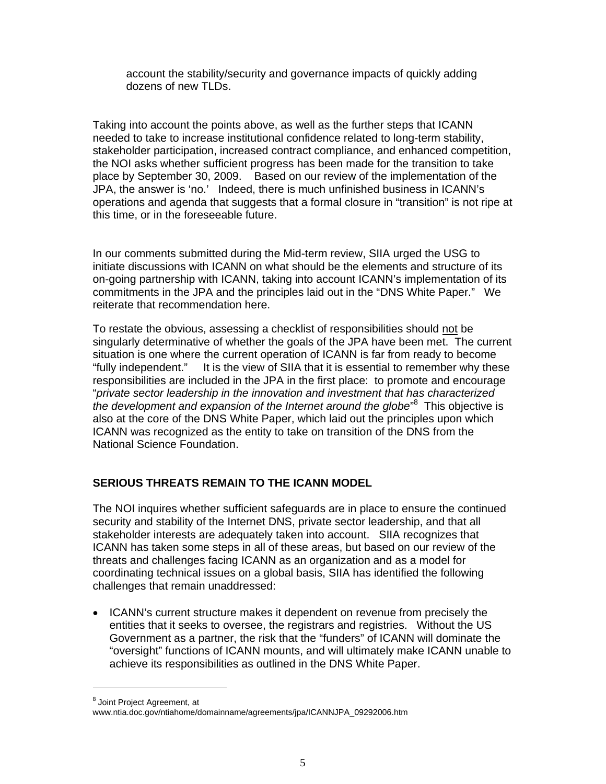account the stability/security and governance impacts of quickly adding dozens of new TLDs.

Taking into account the points above, as well as the further steps that ICANN needed to take to increase institutional confidence related to long-term stability, stakeholder participation, increased contract compliance, and enhanced competition, the NOI asks whether sufficient progress has been made for the transition to take place by September 30, 2009. Based on our review of the implementation of the JPA, the answer is 'no.' Indeed, there is much unfinished business in ICANN's operations and agenda that suggests that a formal closure in "transition" is not ripe at this time, or in the foreseeable future.

In our comments submitted during the Mid-term review, SIIA urged the USG to initiate discussions with ICANN on what should be the elements and structure of its on-going partnership with ICANN, taking into account ICANN's implementation of its commitments in the JPA and the principles laid out in the "DNS White Paper." We reiterate that recommendation here.

To restate the obvious, assessing a checklist of responsibilities should not be singularly determinative of whether the goals of the JPA have been met. The current situation is one where the current operation of ICANN is far from ready to become "fully independent." It is the view of SIIA that it is essential to remember why these responsibilities are included in the JPA in the first place: to promote and encourage "*private sector leadership in the innovation and investment that has characterized the development and expansion of the Internet around the globe*" 8 This objective is also at the core of the DNS White Paper, which laid out the principles upon which ICANN was recognized as the entity to take on transition of the DNS from the National Science Foundation.

## **SERIOUS THREATS REMAIN TO THE ICANN MODEL**

The NOI inquires whether sufficient safeguards are in place to ensure the continued security and stability of the Internet DNS, private sector leadership, and that all stakeholder interests are adequately taken into account. SIIA recognizes that ICANN has taken some steps in all of these areas, but based on our review of the threats and challenges facing ICANN as an organization and as a model for coordinating technical issues on a global basis, SIIA has identified the following challenges that remain unaddressed:

• ICANN's current structure makes it dependent on revenue from precisely the entities that it seeks to oversee, the registrars and registries. Without the US Government as a partner, the risk that the "funders" of ICANN will dominate the "oversight" functions of ICANN mounts, and will ultimately make ICANN unable to achieve its responsibilities as outlined in the DNS White Paper.

<sup>&</sup>lt;sup>8</sup> Joint Project Agreement, at

www.ntia.doc.gov/ntiahome/domainname/agreements/jpa/ICANNJPA\_09292006.htm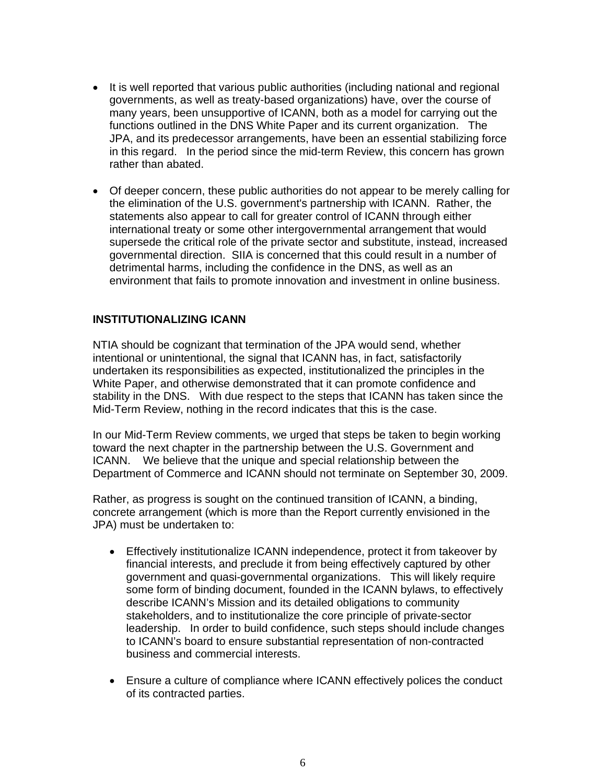- It is well reported that various public authorities (including national and regional governments, as well as treaty-based organizations) have, over the course of many years, been unsupportive of ICANN, both as a model for carrying out the functions outlined in the DNS White Paper and its current organization. The JPA, and its predecessor arrangements, have been an essential stabilizing force in this regard. In the period since the mid-term Review, this concern has grown rather than abated.
- Of deeper concern, these public authorities do not appear to be merely calling for the elimination of the U.S. government's partnership with ICANN. Rather, the statements also appear to call for greater control of ICANN through either international treaty or some other intergovernmental arrangement that would supersede the critical role of the private sector and substitute, instead, increased governmental direction. SIIA is concerned that this could result in a number of detrimental harms, including the confidence in the DNS, as well as an environment that fails to promote innovation and investment in online business.

#### **INSTITUTIONALIZING ICANN**

NTIA should be cognizant that termination of the JPA would send, whether intentional or unintentional, the signal that ICANN has, in fact, satisfactorily undertaken its responsibilities as expected, institutionalized the principles in the White Paper, and otherwise demonstrated that it can promote confidence and stability in the DNS. With due respect to the steps that ICANN has taken since the Mid-Term Review, nothing in the record indicates that this is the case.

In our Mid-Term Review comments, we urged that steps be taken to begin working toward the next chapter in the partnership between the U.S. Government and ICANN. We believe that the unique and special relationship between the Department of Commerce and ICANN should not terminate on September 30, 2009.

Rather, as progress is sought on the continued transition of ICANN, a binding, concrete arrangement (which is more than the Report currently envisioned in the JPA) must be undertaken to:

- Effectively institutionalize ICANN independence, protect it from takeover by financial interests, and preclude it from being effectively captured by other government and quasi-governmental organizations. This will likely require some form of binding document, founded in the ICANN bylaws, to effectively describe ICANN's Mission and its detailed obligations to community stakeholders, and to institutionalize the core principle of private-sector leadership. In order to build confidence, such steps should include changes to ICANN's board to ensure substantial representation of non-contracted business and commercial interests.
- Ensure a culture of compliance where ICANN effectively polices the conduct of its contracted parties.